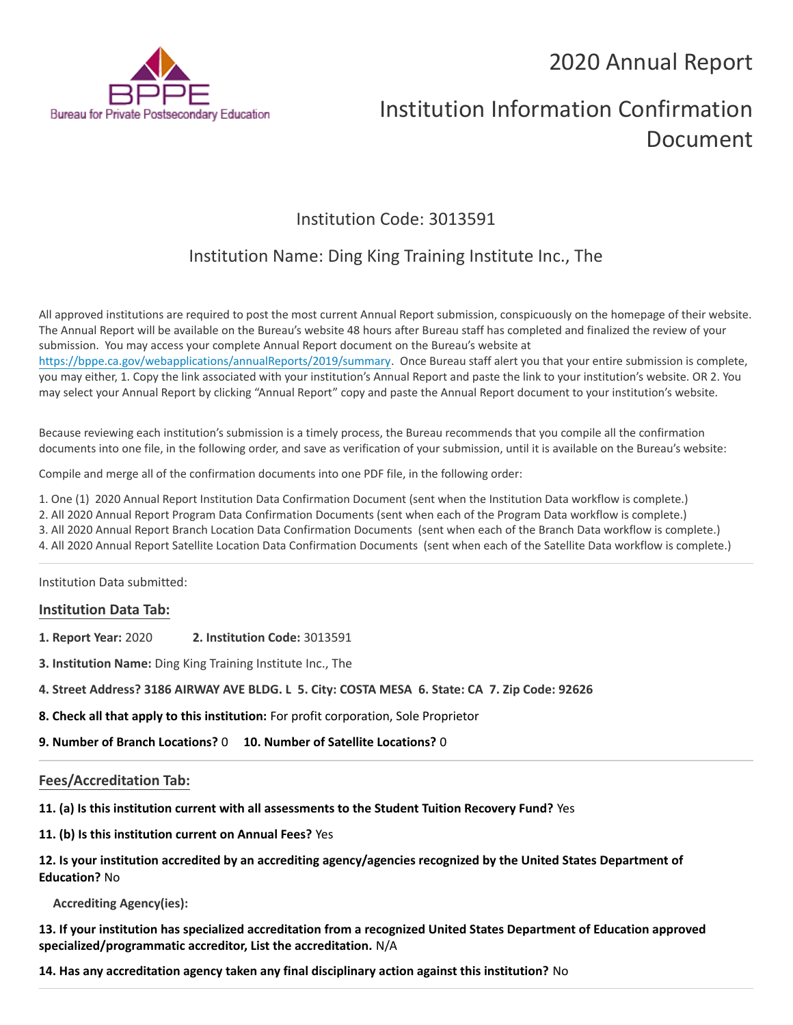## 2020 Annual Report



# Institution Information Confirmation Document

## Institution Code: 3013591

### Institution Name: Ding King Training Institute Inc., The

All approved institutions are required to post the most current Annual Report submission, conspicuously on the homepage of their website. The Annual Report will be available on the Bureau's website 48 hours after Bureau staff has completed and finalized the review of your submission. You may access your complete Annual Report document on the Bureau's website at https://bppe.ca.gov/webapplications/annualReports/2019/summary. Once Bureau staff alert you that your entire submission is complete, you may either, 1. Copy the link associated with your institution's Annual Report and paste the link to your institution's website. OR 2. You may select your Annual Report by clicking "Annual Report" copy and paste the Annual Report document to your institution's website.

Because reviewing each institution's submission is a timely process, the Bureau recommends that you compile all the confirmation documents into one file, in the following order, and save as verification of your submission, until it is available on the Bureau's website:

Compile and merge all of the confirmation documents into one PDF file, in the following order:

1. One (1) 2020 Annual Report Institution Data Confirmation Document (sent when the Institution Data workflow is complete.)

2. All 2020 Annual Report Program Data Confirmation Documents (sent when each of the Program Data workflow is complete.)

3. All 2020 Annual Report Branch Location Data Confirmation Documents (sent when each of the Branch Data workflow is complete.)

4. All 2020 Annual Report Satellite Location Data Confirmation Documents (sent when each of the Satellite Data workflow is complete.)

Institution Data submitted:

#### **Institution Data Tab:**

- **1. Report Year:** 2020 **2. Institution Code:** 3013591
- **3. Institution Name:** Ding King Training Institute Inc., The
- **4. Street Address? 3186 AIRWAY AVE BLDG. L 5. City: COSTA MESA 6. State: CA 7. Zip Code: 92626**
- **8. Check all that apply to this institution:** For profit corporation, Sole Proprietor
- **9. Number of Branch Locations?** 0 **10. Number of Satellite Locations?** 0

#### **Fees/Accreditation Tab:**

**11. (a) Is this institution current with all assessments to the Student Tuition Recovery Fund?** Yes

**11. (b) Is this institution current on Annual Fees?** Yes

| 12. Is your institution accredited by an accrediting agency/agencies recognized by the United States Department of |
|--------------------------------------------------------------------------------------------------------------------|
| <b>Education? No</b>                                                                                               |

**Accrediting Agency(ies):**

**13. If your institution has specialized accreditation from a recognized United States Department of Education approved specialized/programmatic accreditor, List the accreditation.** N/A

**14. Has any accreditation agency taken any final disciplinary action against this institution?** No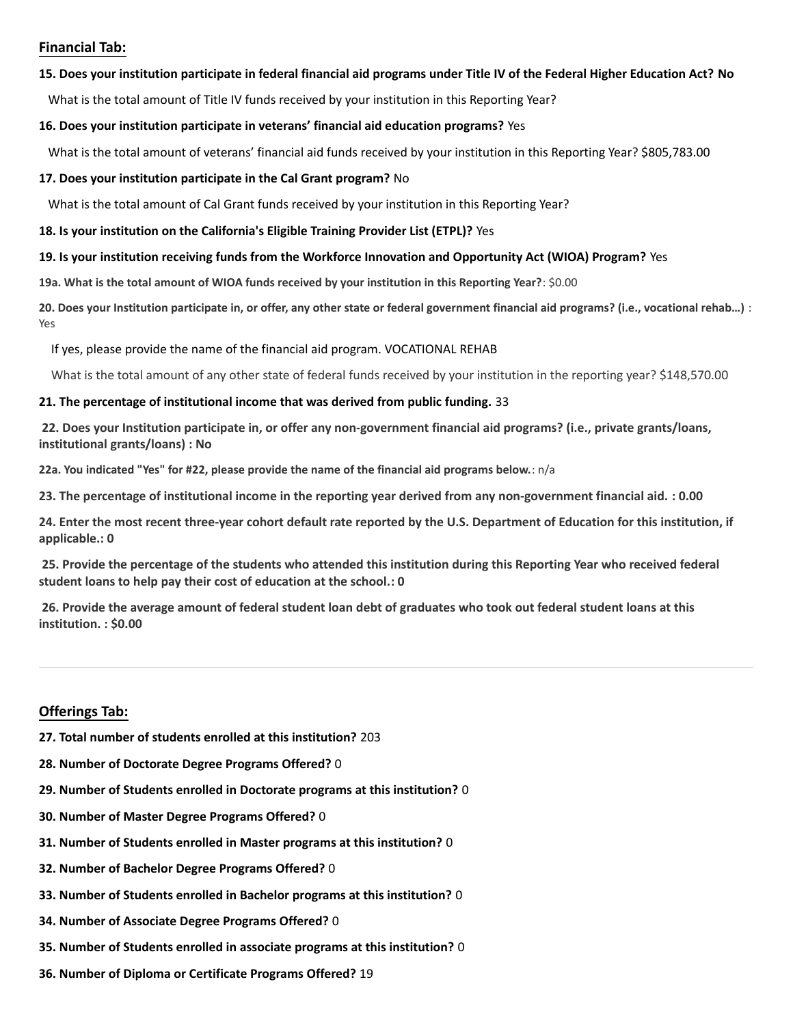#### **Financial Tab:**

#### **15. Does your institution participate in federal financial aid programs under Title IV of the Federal Higher Education Act? No**

What is the total amount of Title IV funds received by your institution in this Reporting Year?

#### **16. Does your institution participate in veterans' financial aid education programs?** Yes

What is the total amount of veterans' financial aid funds received by your institution in this Reporting Year? \$805,783.00

#### **17. Does your institution participate in the Cal Grant program?** No

What is the total amount of Cal Grant funds received by your institution in this Reporting Year?

#### **18. Is your institution on the California's Eligible Training Provider List (ETPL)?** Yes

#### **19. Is your institution receiving funds from the Workforce Innovation and Opportunity Act (WIOA) Program?** Yes

**19a. What is the total amount of WIOA funds received by your institution in this Reporting Year?**: \$0.00

**20. Does your Institution participate in, or offer, any other state or federal government financial aid programs? (i.e., vocational rehab…)** : Yes

If yes, please provide the name of the financial aid program. VOCATIONAL REHAB

What is the total amount of any other state of federal funds received by your institution in the reporting year? \$148,570.00

#### **21. The percentage of institutional income that was derived from public funding.** 33

**22. Does your Institution participate in, or offer any non-government financial aid programs? (i.e., private grants/loans, institutional grants/loans) : No**

**22a. You indicated "Yes" for #22, please provide the name of the financial aid programs below.**: n/a

**23. The percentage of institutional income in the reporting year derived from any non-government financial aid. : 0.00**

**24. Enter the most recent three-year cohort default rate reported by the U.S. Department of Education for this institution, if applicable.: 0**

**25. Provide the percentage of the students who attended this institution during this Reporting Year who received federal student loans to help pay their cost of education at the school.: 0**

**26. Provide the average amount of federal student loan debt of graduates who took out federal student loans at this institution. : \$0.00**

#### **Offerings Tab:**

- **27. Total number of students enrolled at this institution?** 203
- **28. Number of Doctorate Degree Programs Offered?** 0
- **29. Number of Students enrolled in Doctorate programs at this institution?** 0
- **30. Number of Master Degree Programs Offered?** 0
- **31. Number of Students enrolled in Master programs at this institution?** 0
- **32. Number of Bachelor Degree Programs Offered?** 0
- **33. Number of Students enrolled in Bachelor programs at this institution?** 0
- **34. Number of Associate Degree Programs Offered?** 0
- **35. Number of Students enrolled in associate programs at this institution?** 0
- **36. Number of Diploma or Certificate Programs Offered?** 19